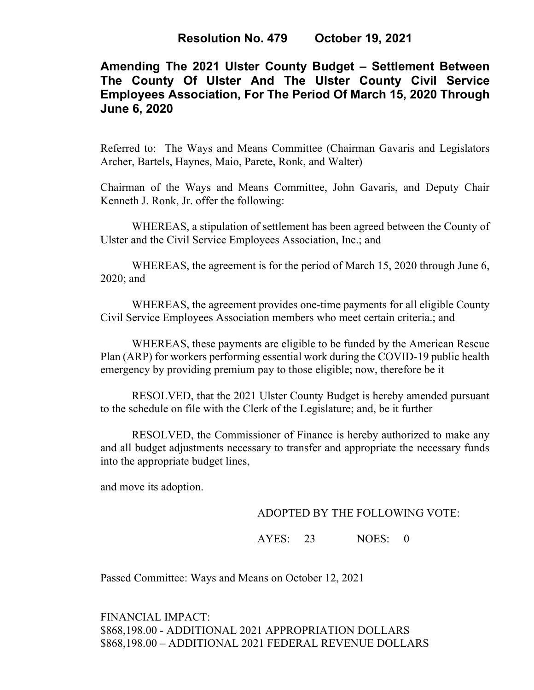## **Amending The 2021 Ulster County Budget – Settlement Between The County Of Ulster And The Ulster County Civil Service Employees Association, For The Period Of March 15, 2020 Through June 6, 2020**

Referred to: The Ways and Means Committee (Chairman Gavaris and Legislators Archer, Bartels, Haynes, Maio, Parete, Ronk, and Walter)

Chairman of the Ways and Means Committee, John Gavaris, and Deputy Chair Kenneth J. Ronk, Jr. offer the following:

WHEREAS, a stipulation of settlement has been agreed between the County of Ulster and the Civil Service Employees Association, Inc.; and

WHEREAS, the agreement is for the period of March 15, 2020 through June 6, 2020; and

WHEREAS, the agreement provides one-time payments for all eligible County Civil Service Employees Association members who meet certain criteria.; and

WHEREAS, these payments are eligible to be funded by the American Rescue Plan (ARP) for workers performing essential work during the COVID-19 public health emergency by providing premium pay to those eligible; now, therefore be it

RESOLVED, that the 2021 Ulster County Budget is hereby amended pursuant to the schedule on file with the Clerk of the Legislature; and, be it further

RESOLVED, the Commissioner of Finance is hereby authorized to make any and all budget adjustments necessary to transfer and appropriate the necessary funds into the appropriate budget lines,

and move its adoption.

## ADOPTED BY THE FOLLOWING VOTE:

AYES: 23 NOES: 0

Passed Committee: Ways and Means on October 12, 2021

FINANCIAL IMPACT: \$868,198.00 - ADDITIONAL 2021 APPROPRIATION DOLLARS \$868,198.00 – ADDITIONAL 2021 FEDERAL REVENUE DOLLARS